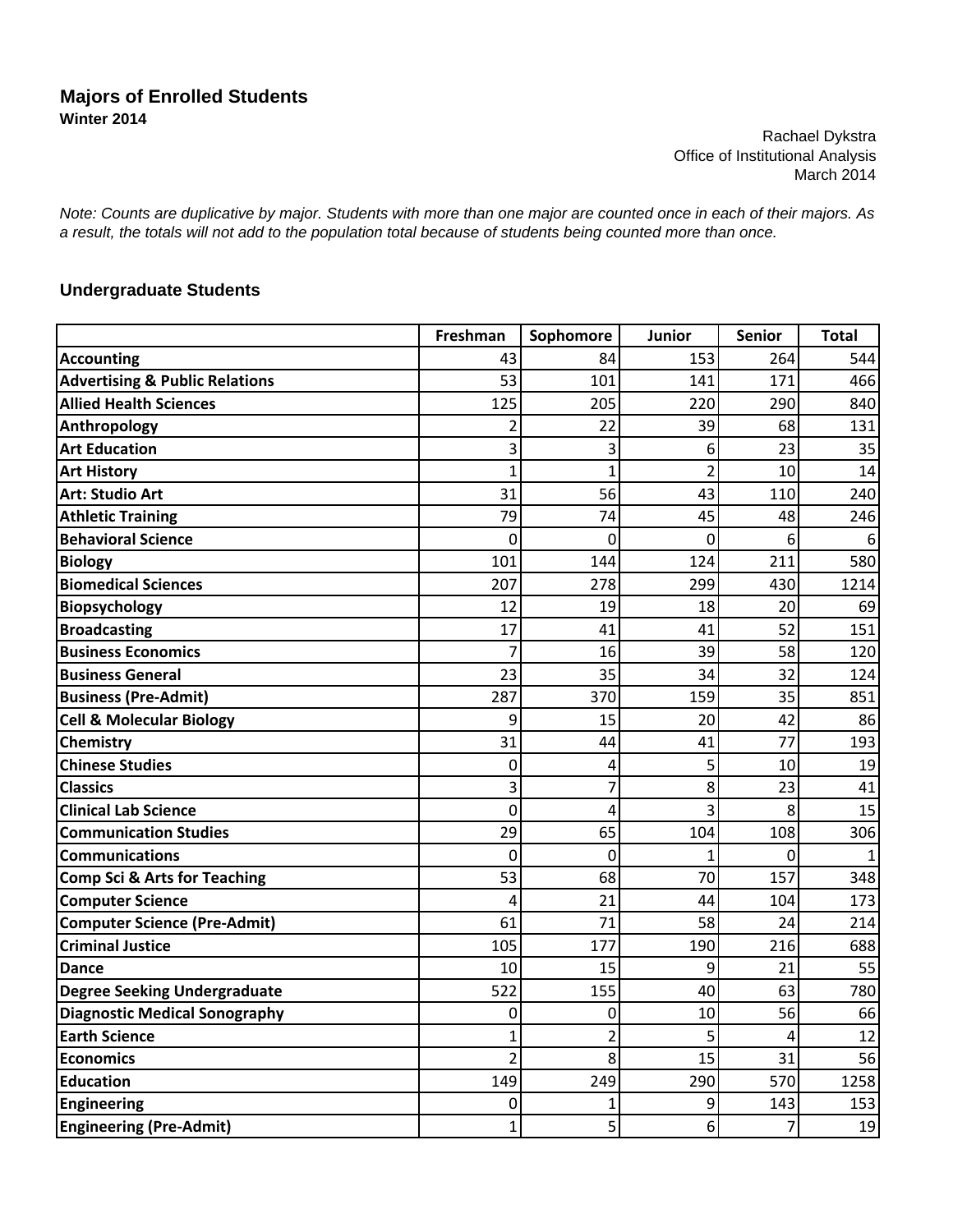## **Majors of Enrolled Students Winter 2014**

Rachael Dykstra Office of Institutional Analysis March 2014

*Note: Counts are duplicative by major. Students with more than one major are counted once in each of their majors. As a result, the totals will not add to the population total because of students being counted more than once.*

## **Undergraduate Students**

|                                           | Freshman       | Sophomore      | Junior         | <b>Senior</b> | <b>Total</b> |
|-------------------------------------------|----------------|----------------|----------------|---------------|--------------|
| <b>Accounting</b>                         | 43             | 84             | 153            | 264           | 544          |
| <b>Advertising &amp; Public Relations</b> | 53             | 101            | 141            | 171           | 466          |
| <b>Allied Health Sciences</b>             | 125            | 205            | 220            | 290           | 840          |
| <b>Anthropology</b>                       | 2              | 22             | 39             | 68            | 131          |
| <b>Art Education</b>                      | 3              | 3              | 6              | 23            | 35           |
| <b>Art History</b>                        | 1              | $\mathbf{1}$   | $\overline{2}$ | 10            | 14           |
| <b>Art: Studio Art</b>                    | 31             | 56             | 43             | 110           | 240          |
| <b>Athletic Training</b>                  | 79             | 74             | 45             | 48            | 246          |
| <b>Behavioral Science</b>                 | 0              | $\mathbf 0$    | $\mathbf 0$    | 6             | 6            |
| <b>Biology</b>                            | 101            | 144            | 124            | 211           | 580          |
| <b>Biomedical Sciences</b>                | 207            | 278            | 299            | 430           | 1214         |
| <b>Biopsychology</b>                      | 12             | 19             | 18             | 20            | 69           |
| <b>Broadcasting</b>                       | 17             | 41             | 41             | 52            | 151          |
| <b>Business Economics</b>                 | 7              | 16             | 39             | 58            | 120          |
| <b>Business General</b>                   | 23             | 35             | 34             | 32            | 124          |
| <b>Business (Pre-Admit)</b>               | 287            | 370            | 159            | 35            | 851          |
| <b>Cell &amp; Molecular Biology</b>       | 9              | 15             | 20             | 42            | 86           |
| <b>Chemistry</b>                          | 31             | 44             | 41             | 77            | 193          |
| <b>Chinese Studies</b>                    | 0              | 4              | 5              | 10            | 19           |
| <b>Classics</b>                           | 3              | 7              | 8              | 23            | 41           |
| <b>Clinical Lab Science</b>               | 0              | 4              | 3              | 8             | 15           |
| <b>Communication Studies</b>              | 29             | 65             | 104            | 108           | 306          |
| <b>Communications</b>                     | 0              | $\overline{0}$ | $\overline{1}$ | $\Omega$      | 1            |
| <b>Comp Sci &amp; Arts for Teaching</b>   | 53             | 68             | 70             | 157           | 348          |
| <b>Computer Science</b>                   | 4              | 21             | 44             | 104           | 173          |
| <b>Computer Science (Pre-Admit)</b>       | 61             | 71             | 58             | 24            | 214          |
| <b>Criminal Justice</b>                   | 105            | 177            | 190            | 216           | 688          |
| <b>Dance</b>                              | 10             | 15             | 9              | 21            | 55           |
| <b>Degree Seeking Undergraduate</b>       | 522            | 155            | 40             | 63            | 780          |
| <b>Diagnostic Medical Sonography</b>      | 0              | 0              | 10             | 56            | 66           |
| <b>Earth Science</b>                      | 1              | $\overline{2}$ | 5              | 4             | 12           |
| <b>Economics</b>                          | $\overline{2}$ | 8              | 15             | 31            | 56           |
| <b>Education</b>                          | 149            | 249            | 290            | 570           | 1258         |
| <b>Engineering</b>                        | 0              | 1              | 9              | 143           | 153          |
| <b>Engineering (Pre-Admit)</b>            | $\mathbf{1}$   | 5              | 6              | 7             | 19           |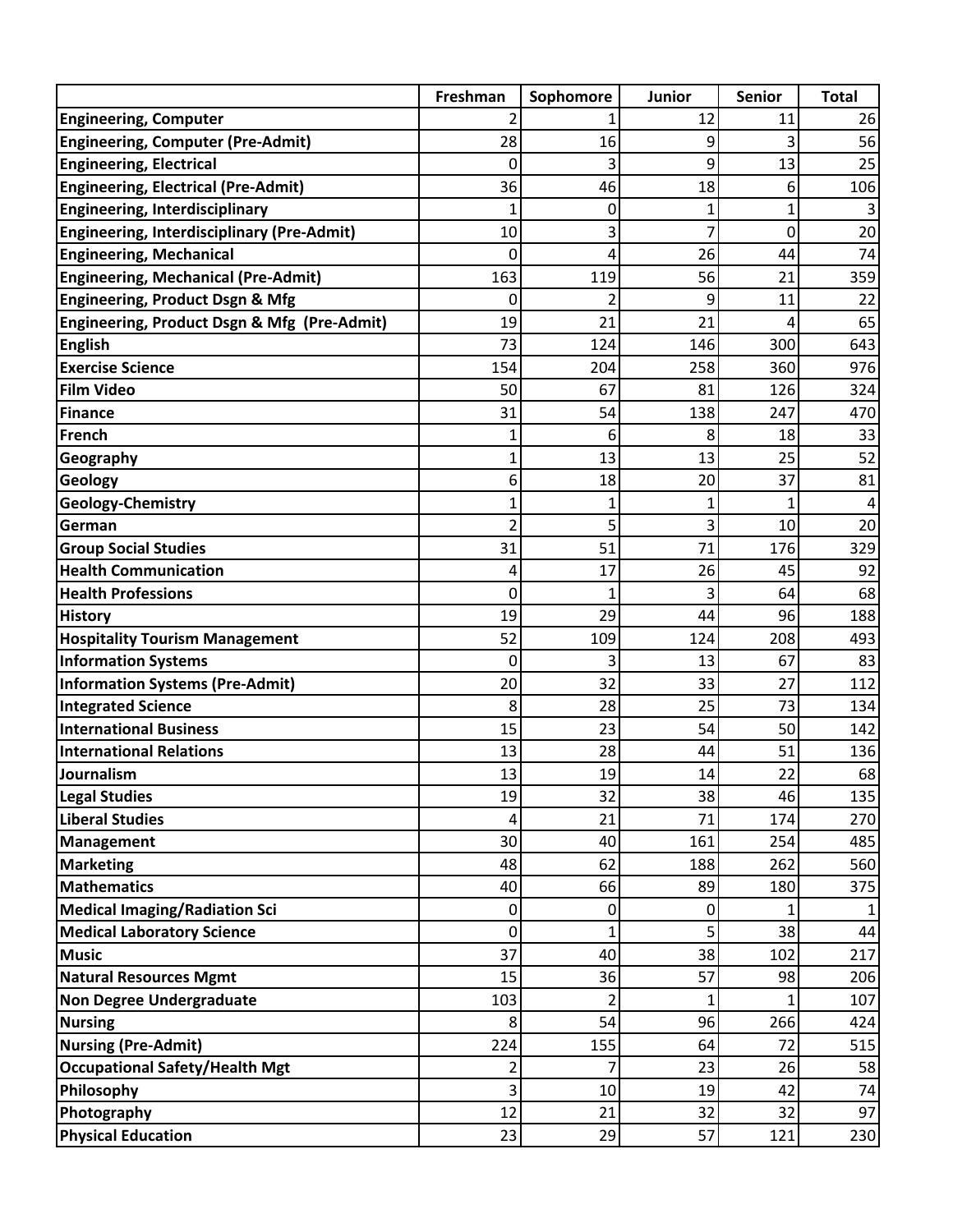|                                                   | Freshman     | Sophomore      | <b>Junior</b> | <b>Senior</b> | <b>Total</b> |
|---------------------------------------------------|--------------|----------------|---------------|---------------|--------------|
| <b>Engineering, Computer</b>                      |              |                | 12            | 11            | 26           |
| <b>Engineering, Computer (Pre-Admit)</b>          | 28           | 16             | 9             | 3             | 56           |
| <b>Engineering, Electrical</b>                    | 0            | 3              | 9             | 13            | 25           |
| <b>Engineering, Electrical (Pre-Admit)</b>        | 36           | 46             | 18            | 6             | 106          |
| <b>Engineering, Interdisciplinary</b>             | 1            | 0              | 1             | 1             |              |
| <b>Engineering, Interdisciplinary (Pre-Admit)</b> | 10           | 3              | 7             | 0             | 20           |
| <b>Engineering, Mechanical</b>                    | 0            | 4              | 26            | 44            | 74           |
| <b>Engineering, Mechanical (Pre-Admit)</b>        | 163          | 119            | 56            | 21            | 359          |
| <b>Engineering, Product Dsgn &amp; Mfg</b>        | 0            | 2              | 9             | 11            | 22           |
| Engineering, Product Dsgn & Mfg (Pre-Admit)       | 19           | 21             | 21            | 4             | 65           |
| <b>English</b>                                    | 73           | 124            | 146           | 300           | 643          |
| <b>Exercise Science</b>                           | 154          | 204            | 258           | 360           | 976          |
| <b>Film Video</b>                                 | 50           | 67             | 81            | 126           | 324          |
| Finance                                           | 31           | 54             | 138           | 247           | 470          |
| French                                            | 1            | 6              | 8             | 18            | 33           |
| Geography                                         | 1            | 13             | 13            | 25            | 52           |
| Geology                                           | 6            | 18             | 20            | 37            | 81           |
| Geology-Chemistry                                 | 1            | $\mathbf 1$    | 1             | 1             |              |
| German                                            | 2            | 5              | 3             | 10            | 20           |
| <b>Group Social Studies</b>                       | 31           | 51             | 71            | 176           | 329          |
| <b>Health Communication</b>                       | 4            | 17             | 26            | 45            | 92           |
| <b>Health Professions</b>                         | 0            | 1              | 3             | 64            | 68           |
| <b>History</b>                                    | 19           | 29             | 44            | 96            | 188          |
| <b>Hospitality Tourism Management</b>             | 52           | 109            | 124           | 208           | 493          |
| <b>Information Systems</b>                        | $\mathbf{0}$ | 3              | 13            | 67            | 83           |
| <b>Information Systems (Pre-Admit)</b>            | 20           | 32             | 33            | 27            | 112          |
| <b>Integrated Science</b>                         | 8            | 28             | 25            | 73            | 134          |
| <b>International Business</b>                     | 15           | 23             | 54            | 50            | 142          |
| <b>International Relations</b>                    | 13           | 28             | 44            | 51            | 136          |
| Journalism                                        | 13           | 19             | 14            | 22            | 68           |
| <b>Legal Studies</b>                              | 19           | 32             | 38            | 46            | 135          |
| Liberal Studies                                   | 4            | 21             | 71            | 174           | 270          |
| Management                                        | 30           | 40             | 161           | 254           | 485          |
| <b>Marketing</b>                                  | 48           | 62             | 188           | 262           | 560          |
| <b>Mathematics</b>                                | 40           | 66             | 89            | 180           | 375          |
| <b>Medical Imaging/Radiation Sci</b>              | 0            | 0              | 0             |               |              |
| <b>Medical Laboratory Science</b>                 | $\mathbf 0$  | $\mathbf{1}$   | 5             | 38            | 44           |
| <b>Music</b>                                      | 37           | 40             | 38            | 102           | 217          |
| <b>Natural Resources Mgmt</b>                     | 15           | 36             | 57            | 98            | 206          |
| <b>Non Degree Undergraduate</b>                   | 103          | $\overline{2}$ | $\mathbf{1}$  |               | 107          |
| <b>Nursing</b>                                    | 8            | 54             | 96            | 266           | 424          |
| <b>Nursing (Pre-Admit)</b>                        | 224          | 155            | 64            | 72            | 515          |
| <b>Occupational Safety/Health Mgt</b>             | 2            | 7              | 23            | 26            | 58           |
| Philosophy                                        | 3            | 10             | 19            | 42            | 74           |
| Photography                                       | 12           | 21             | 32            | 32            | 97           |
| <b>Physical Education</b>                         | 23           | 29             | 57            | 121           | 230          |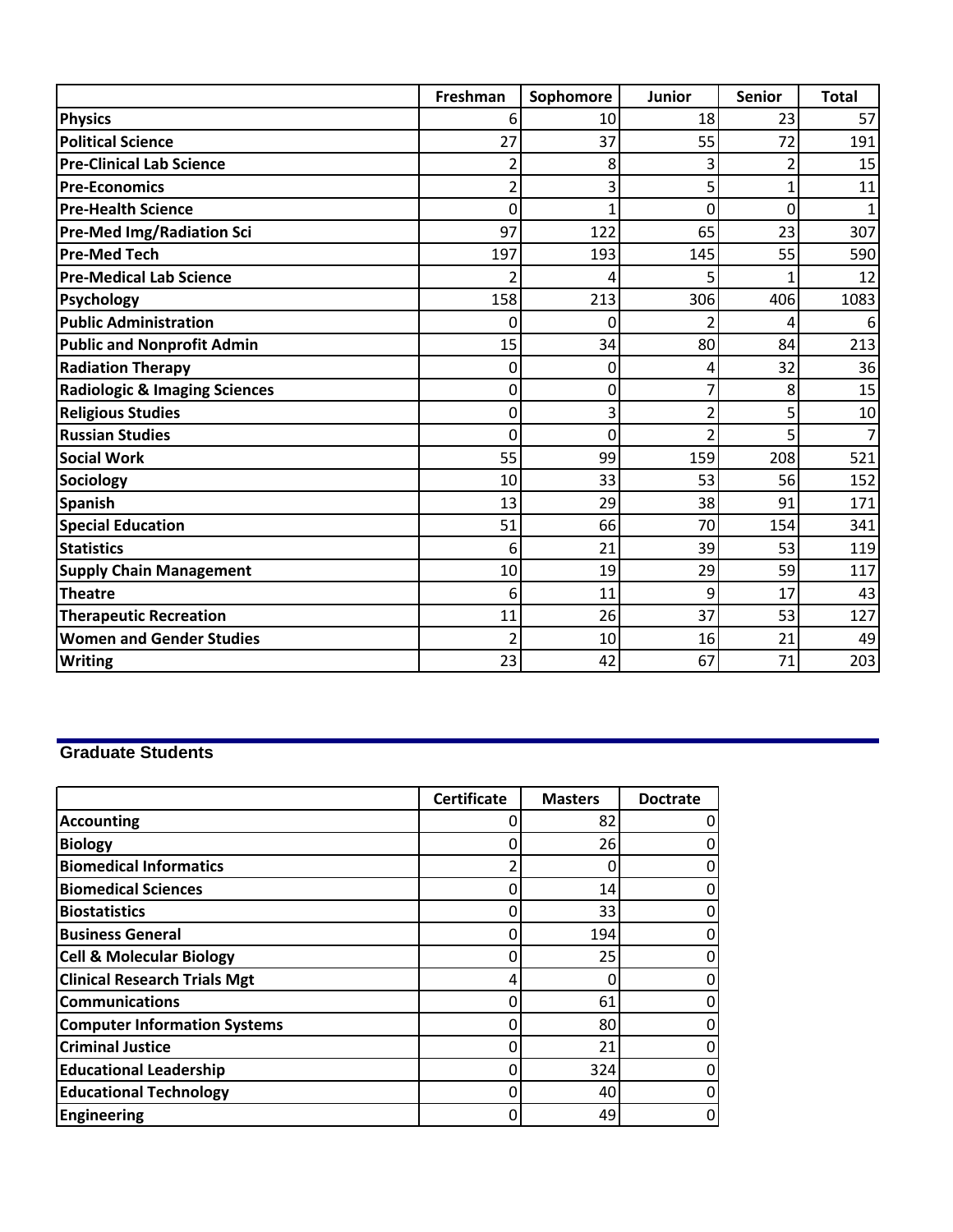|                                          | Freshman       | Sophomore      | Junior         | <b>Senior</b> | <b>Total</b> |
|------------------------------------------|----------------|----------------|----------------|---------------|--------------|
| <b>Physics</b>                           | 6              | 10             | 18             | 23            | 57           |
| <b>Political Science</b>                 | 27             | 37             | 55             | 72            | 191          |
| <b>Pre-Clinical Lab Science</b>          | 2              | 8              | 3              | 2             | 15           |
| <b>Pre-Economics</b>                     | $\overline{2}$ | 3              | 5              | $\mathbf{1}$  | 11           |
| <b>Pre-Health Science</b>                | 0              | 1              | $\overline{0}$ | 0             | 1            |
| <b>Pre-Med Img/Radiation Sci</b>         | 97             | 122            | 65             | 23            | 307          |
| Pre-Med Tech                             | 197            | 193            | 145            | 55            | 590          |
| <b>Pre-Medical Lab Science</b>           | 2              | 4              | 5              | 1             | 12           |
| Psychology                               | 158            | 213            | 306            | 406           | 1083         |
| <b>Public Administration</b>             | 0              | $\mathbf{0}$   | 2              | 4             | 6            |
| <b>Public and Nonprofit Admin</b>        | 15             | 34             | 80             | 84            | 213          |
| <b>Radiation Therapy</b>                 | 0              | $\mathbf 0$    | 4              | 32            | 36           |
| <b>Radiologic &amp; Imaging Sciences</b> | 0              | $\mathbf 0$    | 7              | 8             | 15           |
| <b>Religious Studies</b>                 | 0              | 3              | 2              | 5             | 10           |
| <b>Russian Studies</b>                   | $\mathbf 0$    | $\overline{0}$ | 2              | 5             | 7            |
| <b>Social Work</b>                       | 55             | 99             | 159            | 208           | 521          |
| <b>Sociology</b>                         | 10             | 33             | 53             | 56            | 152          |
| <b>Spanish</b>                           | 13             | 29             | 38             | 91            | 171          |
| <b>Special Education</b>                 | 51             | 66             | 70             | 154           | 341          |
| <b>Statistics</b>                        | 6              | 21             | 39             | 53            | 119          |
| <b>Supply Chain Management</b>           | 10             | 19             | 29             | 59            | 117          |
| <b>Theatre</b>                           | 6              | 11             | 9              | 17            | 43           |
| <b>Therapeutic Recreation</b>            | 11             | 26             | 37             | 53            | 127          |
| <b>Women and Gender Studies</b>          | 2              | 10             | 16             | 21            | 49           |
| <b>Writing</b>                           | 23             | 42             | 67             | 71            | 203          |

## **Graduate Students**

|                                     | <b>Certificate</b> | <b>Masters</b> | <b>Doctrate</b> |
|-------------------------------------|--------------------|----------------|-----------------|
| <b>Accounting</b>                   |                    | 82             |                 |
| <b>Biology</b>                      |                    | 26             | 0               |
| <b>Biomedical Informatics</b>       |                    |                |                 |
| <b>Biomedical Sciences</b>          |                    | 14             | 0               |
| <b>IBiostatistics</b>               |                    | 33             |                 |
| <b>Business General</b>             |                    | 194            |                 |
| <b>Cell &amp; Molecular Biology</b> |                    | 25             |                 |
| <b>Clinical Research Trials Mgt</b> | 4                  |                | 0               |
| Communications                      |                    | 61             |                 |
| <b>Computer Information Systems</b> |                    | 80             | 0               |
| <b>Criminal Justice</b>             |                    | 21             |                 |
| <b>Educational Leadership</b>       |                    | 324            | 0               |
| <b>Educational Technology</b>       |                    | 40             | 0               |
| Engineering                         |                    | 49             | 0               |